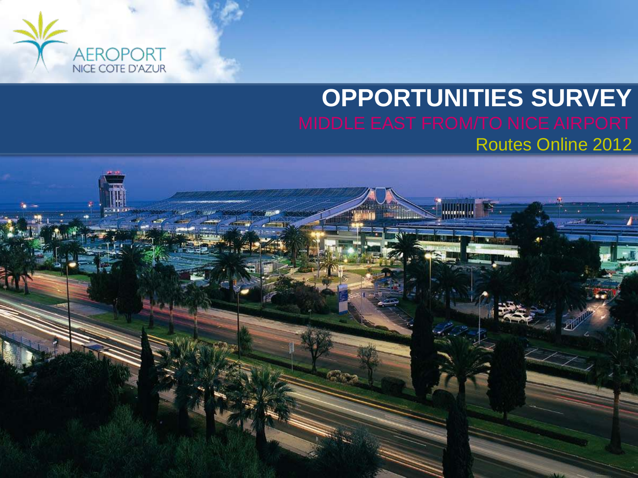

## **ICPPORTUNITIES SURVEY** Routes Online 2012

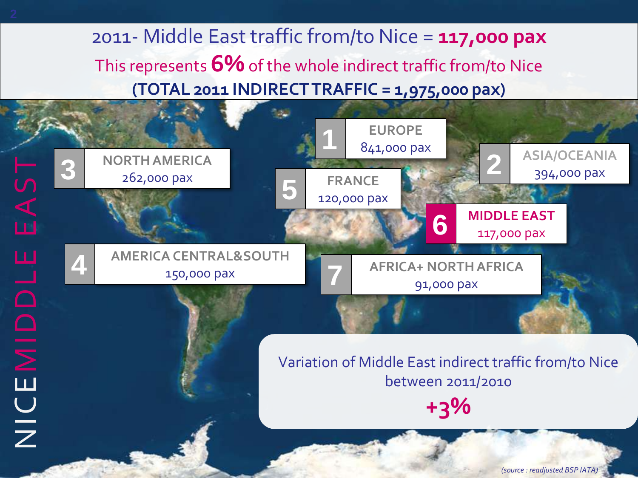2011- Middle East traffic from/to Nice = **117,000 pax** This represents **6%** of the whole indirect traffic from/to Nice **(TOTAL 2011 INDIRECT TRAFFIC = 1,975,000 pax)**



*(source : readjusted BSP IATA)*

2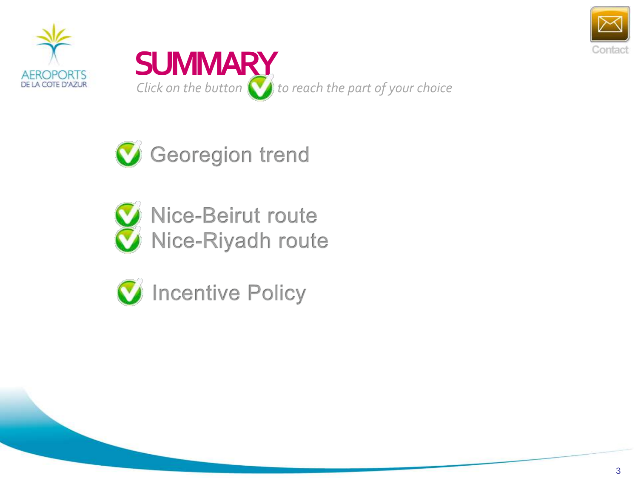





Georegion trend



W Nice-Beirut route W Nice-Riyadh route



C Incentive Policy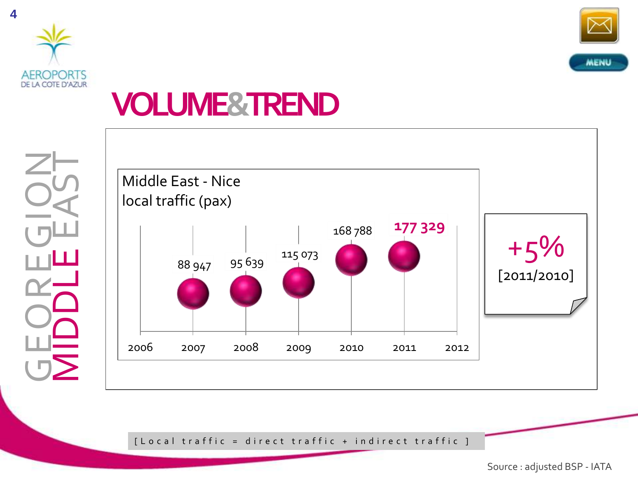



## **VOLUME&TREND**





[Local traffic = direct traffic + indirect traffic ]

Source : adjusted BSP - IATA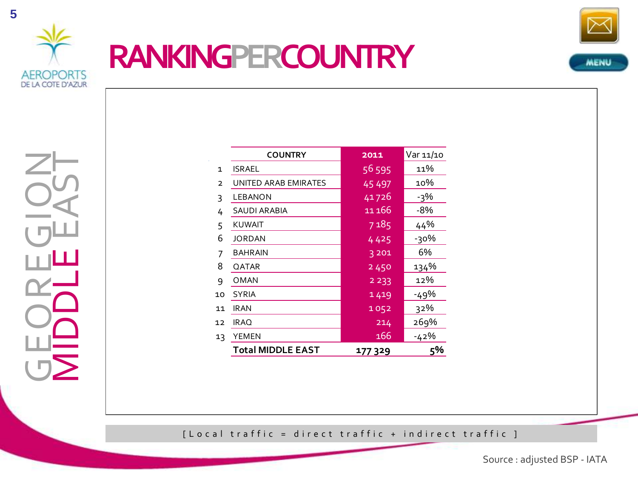

## **RANKINGPERCOUNTRY**



GEOREGION<br>MIDDLEEAST MIDDLE EAST

|                | <b>COUNTRY</b>       | 2011              | Var 11/10 |
|----------------|----------------------|-------------------|-----------|
| $\mathbf{1}$   | ISRAEL               | 56 595            | 11%       |
| $\overline{2}$ | UNITED ARAB EMIRATES | 45 497            | 10%       |
| 3              | LEBANON              | 41726             | -3%       |
| 4              | SAUDI ARABIA         | 11 166            | -8%       |
| 5              | <b>KUWAIT</b>        | $\frac{1}{7}$ 185 | 44%       |
| 6              | <b>JORDAN</b>        | 4425              | -30%      |
| 7              | <b>BAHRAIN</b>       | 3 2 0 1           | 6%        |
| 8              | QATAR                | 2450              | 134%      |
| 9              | OMAN                 | 2 2 3 3           | 12%       |
| 10             | <b>SYRIA</b>         | 1419              | $-49%$    |
| 11             | IRAN                 | 1052              | 32%       |
| 12             | <b>IRAQ</b>          | 214               | 269%      |
| 13             | YEMEN                | 166               | $-42%$    |
|                | Total MIDDLE EAST    | 177329            | 5%        |

[Local traffic = direct traffic + indirect traffic ]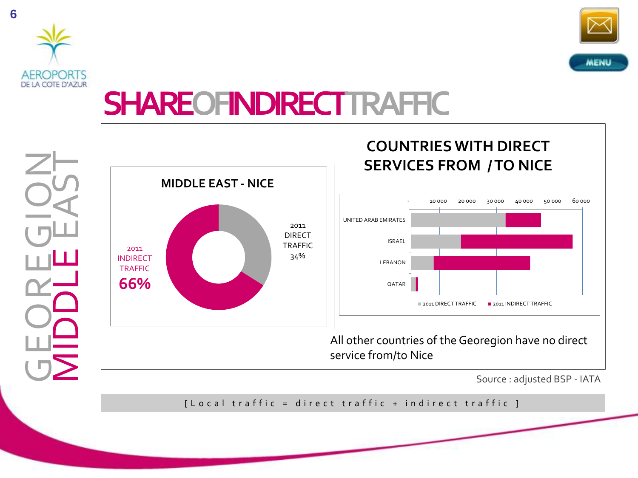



## **SHAREOFINDIRECTTRAFFIC**

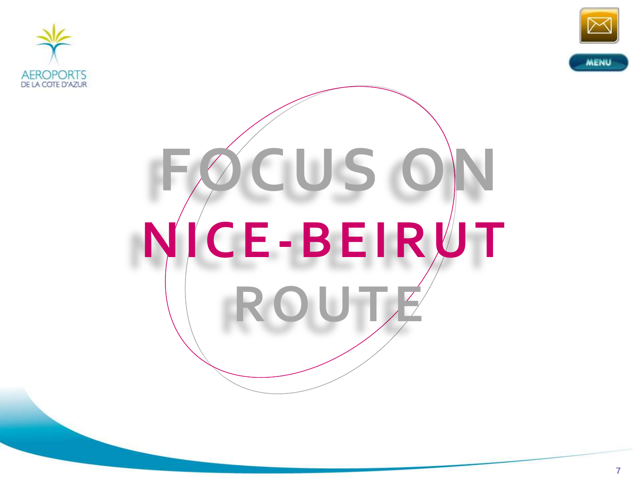



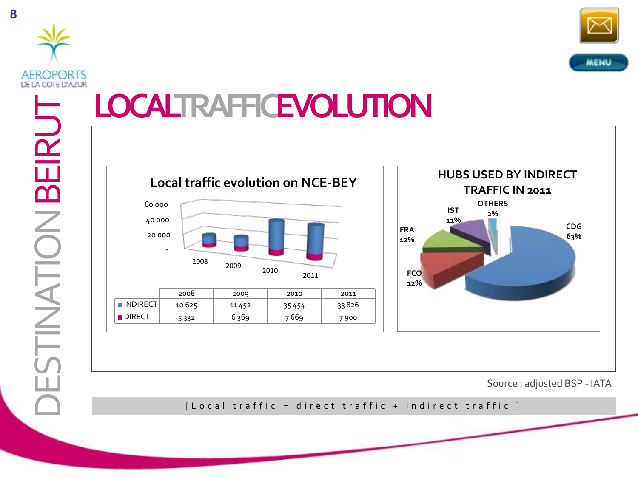



## **LOCALTRAFFICEVOLUTION**



DIRECT | 5 332 | 6 369 | 7 669 | 7 900



Source : adjusted BSP - IATA

[ L o c a l t r a f f i c = d i r e c t t r a f f i c + in d i r e c t t r a f f i c ]

DESTINATION BEIRUT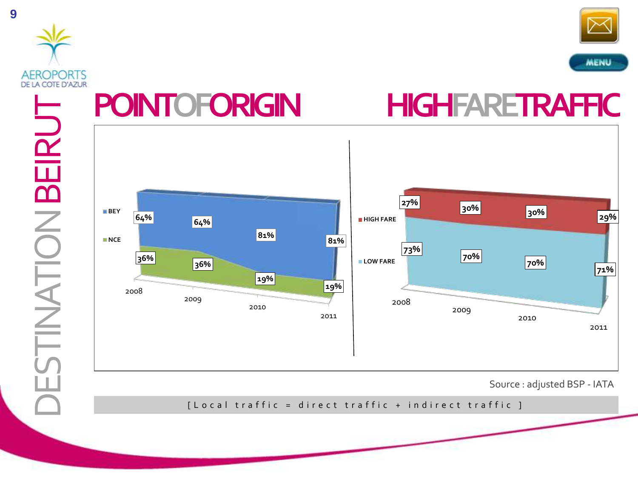



DESTINATION BEIRUT **TINATION BEIRUT** 



[ L o c a l t r a f f i c = d i r e c t t r a f f i c + in d i r e c t t r a f f i c ]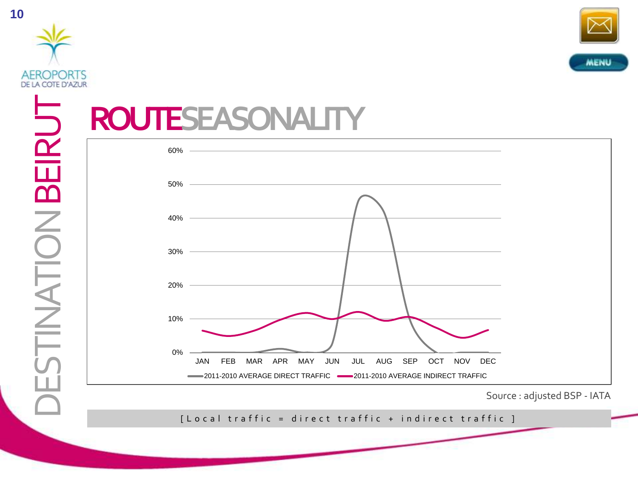



## **ROUTESEASONALITY**



Source : adjusted BSP - IATA

[ Local traffic = direct traffic + indirect traffic ]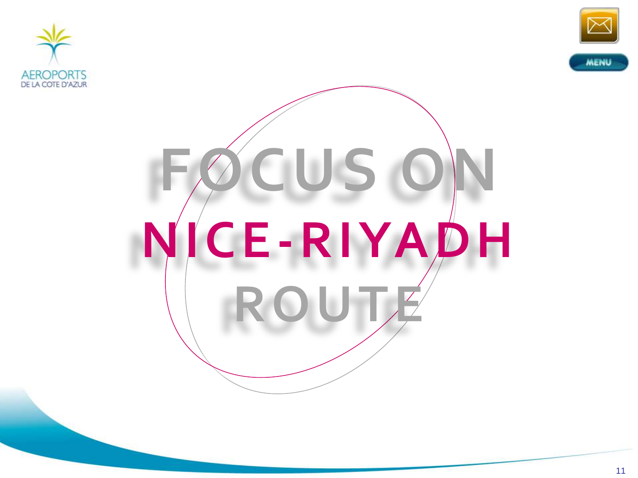



# $O$ CUS O **NICE-RIYADH ROUTE**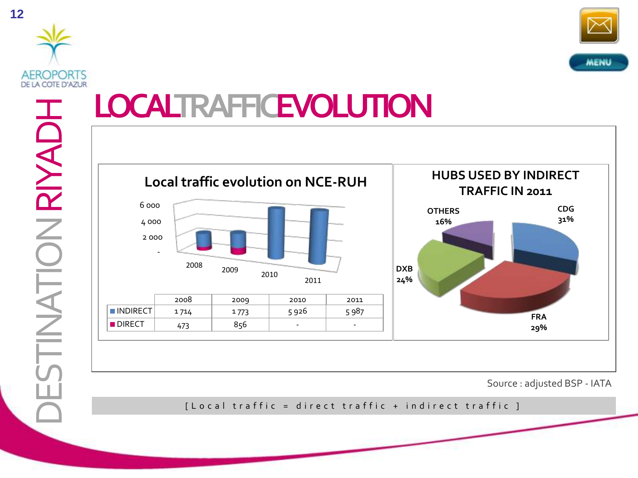



#### **LOCALTRAFFICEVOLUTION** DESTINATION RIYADH **TINATION RIYADH HUBS USED BY INDIRECT Local traffic evolution on NCE-RUH TRAFFIC IN 2011**  6 000 **CDG OTHERS 31%** 4 000 **16%** 2 000 - <sup>2008</sup> <sup>2009</sup> <sup>2010</sup> **DXB 24%** 2011 2008 2009 2010 2011  $\blacksquare$ INDIRECT 1714 1773 3996 5987 **FRA** DIRECT | 473 | 856 | - | -**29%**

Source : adjusted BSP - IATA

[ L o c a l t r a f f i c = d i r e c t t r a f f i c + in d i r e c t t r a f f i c ]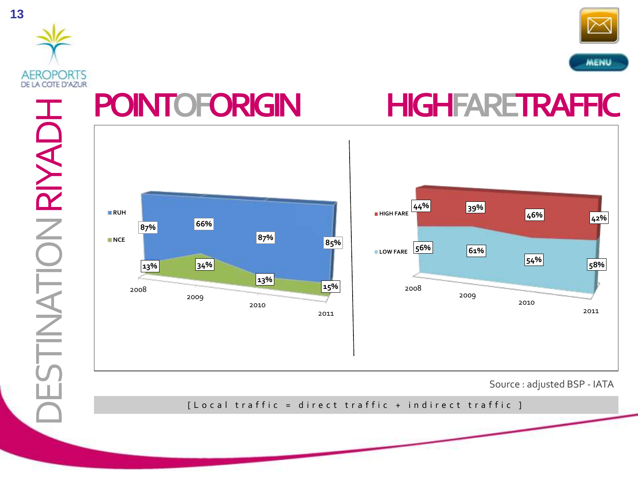



DESTINATION RIYADH **TINATION RIYADH** 

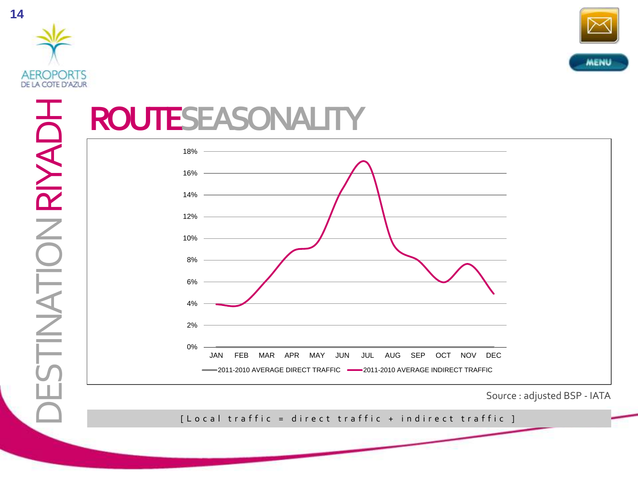



## **ROUTESEASONALITY**



Source : adjusted BSP - IATA

[ Local traffic = direct traffic + indirect traffic ]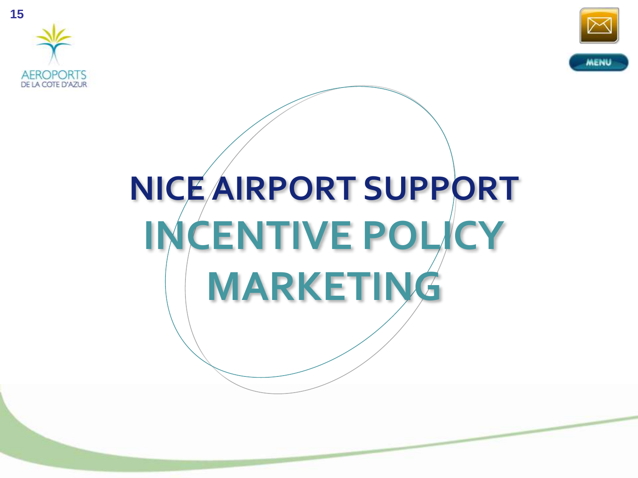



## **NICE AIRPORT SUPPORT INCENTIVE POLICY MARKETING**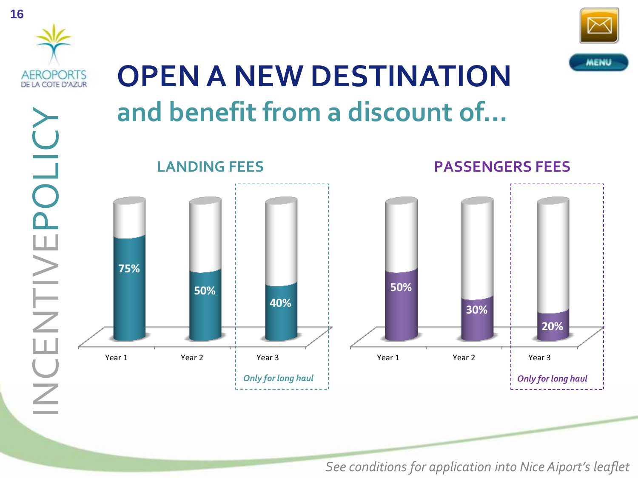

See conditions for application into Nice Aiport's leaflet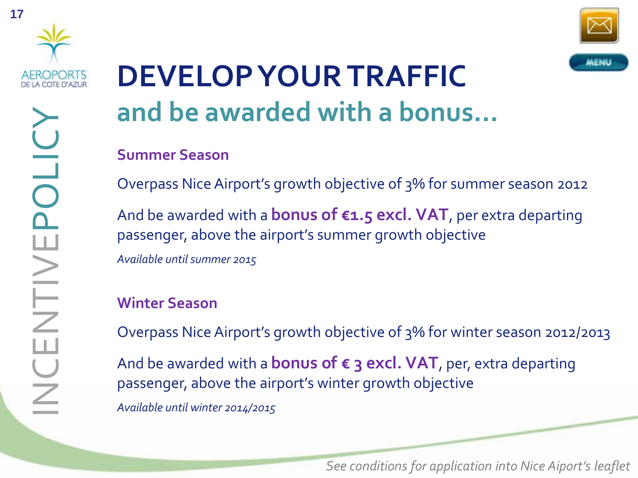



## **DEVELOP YOUR TRAFFIC and be awarded with a bonus…**

#### **Summer Season**

Overpass Nice Airport's growth objective of 3% for summer season 2012

And be awarded with a **bonus of €1.5 excl. VAT**, per extra departing passenger, above the airport's summer growth objective *Available untilsummer 2015*

#### **Winter Season**

Overpass Nice Airport's growth objective of 3% for winter season 2012/2013

And be awarded with a **bonus of € 3 excl. VAT**, per, extra departing passenger, above the airport's winter growth objective *Available until winter 2014/2015*